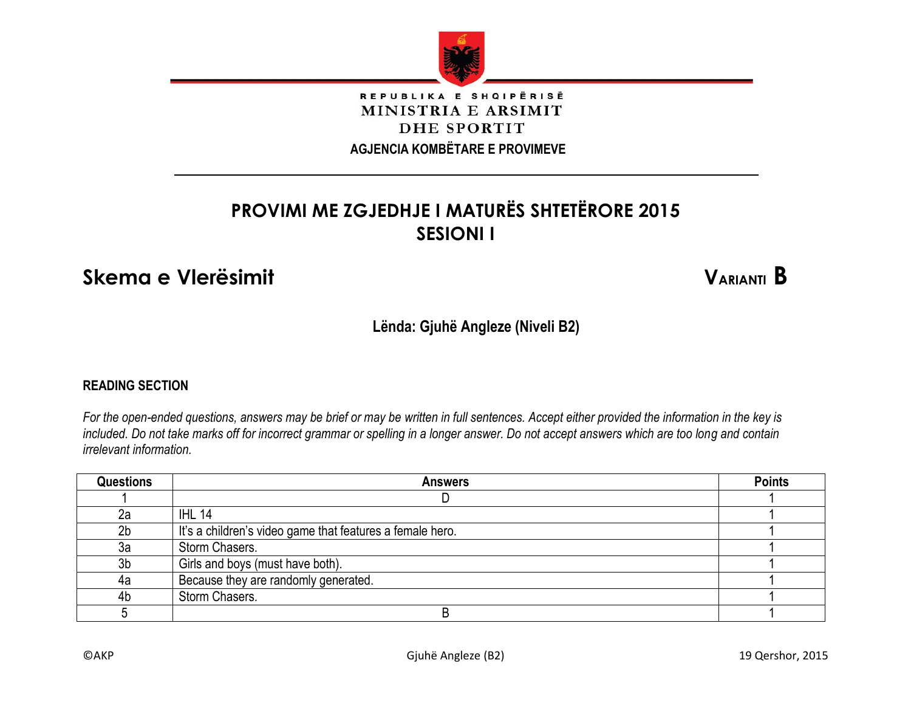

#### REPUBLIKA E SHQIPËRISË MINISTRIA E ARSIMIT DHE SPORTIT

 **AGJENCIA KOMBËTARE E PROVIMEVE**

# **PROVIMI ME ZGJEDHJE I MATURËS SHTETËRORE 2015 SESIONI I**

## **Skema e Vlerësimit VARIANTI B**

**Lënda: Gjuhë Angleze (Niveli B2)**

#### **READING SECTION**

*For the open-ended questions, answers may be brief or may be written in full sentences. Accept either provided the information in the key is included. Do not take marks off for incorrect grammar or spelling in a longer answer. Do not accept answers which are too long and contain irrelevant information.*

| <b>Questions</b> | <b>Answers</b>                                            | <b>Points</b> |
|------------------|-----------------------------------------------------------|---------------|
|                  |                                                           |               |
| 2a               | <b>IHL 14</b>                                             |               |
| 2 <sub>b</sub>   | It's a children's video game that features a female hero. |               |
| 3a               | Storm Chasers.                                            |               |
| 3 <sub>b</sub>   | Girls and boys (must have both).                          |               |
| 4a               | Because they are randomly generated.                      |               |
| 4b               | Storm Chasers.                                            |               |
|                  |                                                           |               |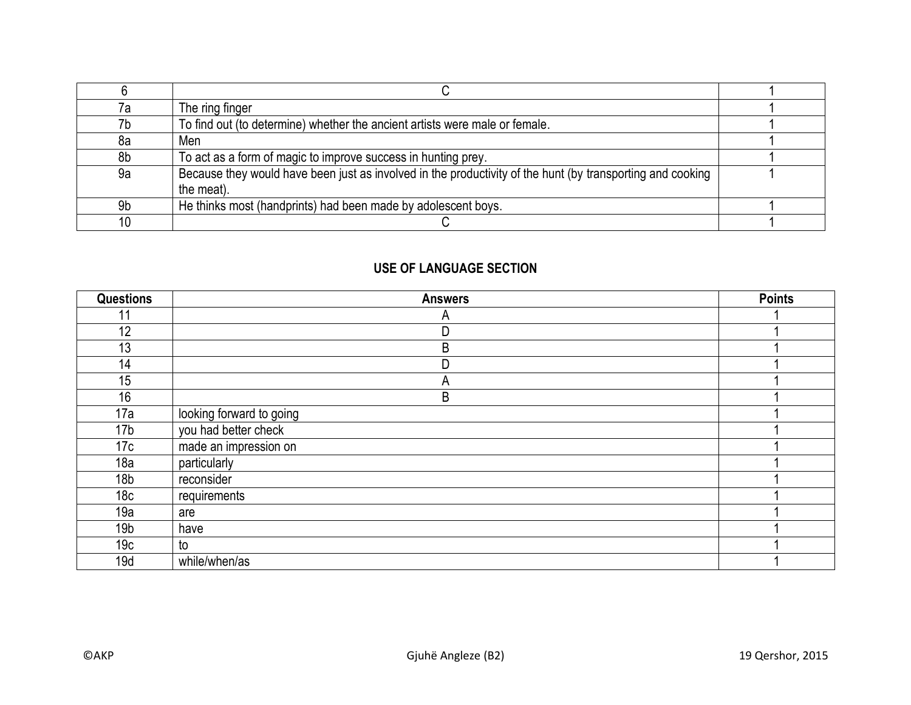| 7a | The ring finger                                                                                                          |  |
|----|--------------------------------------------------------------------------------------------------------------------------|--|
| 7b | To find out (to determine) whether the ancient artists were male or female.                                              |  |
| 8a | Men                                                                                                                      |  |
| 8b | To act as a form of magic to improve success in hunting prey.                                                            |  |
| 9a | Because they would have been just as involved in the productivity of the hunt (by transporting and cooking<br>the meat). |  |
| 9b | He thinks most (handprints) had been made by adolescent boys.                                                            |  |
| 10 |                                                                                                                          |  |

### **USE OF LANGUAGE SECTION**

| <b>Questions</b> | <b>Answers</b>           | <b>Points</b> |
|------------------|--------------------------|---------------|
| 11               | A                        |               |
| 12               | D                        |               |
| 13               | B                        |               |
| 14               | D                        |               |
| 15               | A                        |               |
| 16               | B                        |               |
| 17a              | looking forward to going |               |
| 17 <sub>b</sub>  | you had better check     |               |
| 17c              | made an impression on    |               |
| 18a              | particularly             |               |
| 18 <sub>b</sub>  | reconsider               |               |
| 18 <sub>c</sub>  | requirements             |               |
| 19a              | are                      |               |
| 19 <sub>b</sub>  | have                     |               |
| 19 <sub>c</sub>  | to                       |               |
| 19d              | while/when/as            |               |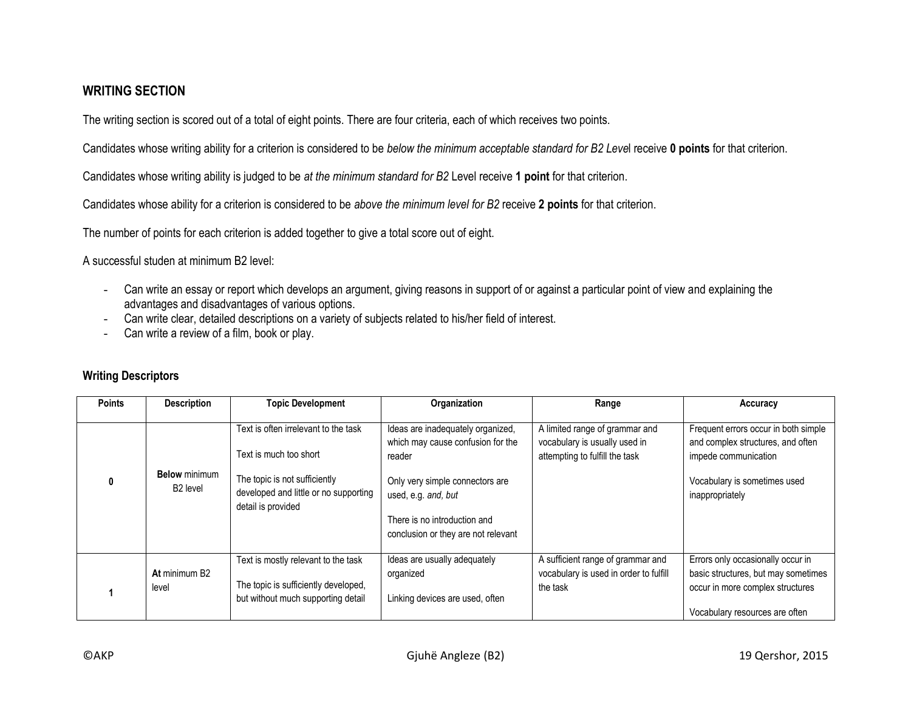#### **WRITING SECTION**

The writing section is scored out of a total of eight points. There are four criteria, each of which receives two points.

Candidates whose writing ability for a criterion is considered to be *below the minimum acceptable standard for B2 Leve*l receive **0 points** for that criterion.

Candidates whose writing ability is judged to be *at the minimum standard for B2* Level receive **1 point** for that criterion.

Candidates whose ability for a criterion is considered to be *above the minimum level for B2* receive **2 points** for that criterion.

The number of points for each criterion is added together to give a total score out of eight.

A successful studen at minimum B2 level:

- Can write an essay or report which develops an argument, giving reasons in support of or against a particular point of view and explaining the advantages and disadvantages of various options.
- Can write clear, detailed descriptions on a variety of subjects related to his/her field of interest.
- Can write a review of a film, book or play.

| <b>Points</b> | <b>Description</b>                           | <b>Topic Development</b>                                                                                                                                       | Organization                                                                                                                                                                                                      | Range                                                                                             | Accuracy                                                                                                                                             |
|---------------|----------------------------------------------|----------------------------------------------------------------------------------------------------------------------------------------------------------------|-------------------------------------------------------------------------------------------------------------------------------------------------------------------------------------------------------------------|---------------------------------------------------------------------------------------------------|------------------------------------------------------------------------------------------------------------------------------------------------------|
|               | <b>Below</b> minimum<br>B <sub>2</sub> level | Text is often irrelevant to the task<br>Text is much too short<br>The topic is not sufficiently<br>developed and little or no supporting<br>detail is provided | Ideas are inadequately organized,<br>which may cause confusion for the<br>reader<br>Only very simple connectors are<br>used, e.g. and, but<br>There is no introduction and<br>conclusion or they are not relevant | A limited range of grammar and<br>vocabulary is usually used in<br>attempting to fulfill the task | Frequent errors occur in both simple<br>and complex structures, and often<br>impede communication<br>Vocabulary is sometimes used<br>inappropriately |
|               | At minimum B2<br>level                       | Text is mostly relevant to the task<br>The topic is sufficiently developed,<br>but without much supporting detail                                              | Ideas are usually adequately<br>organized<br>Linking devices are used, often                                                                                                                                      | A sufficient range of grammar and<br>vocabulary is used in order to fulfill<br>the task           | Errors only occasionally occur in<br>basic structures, but may sometimes<br>occur in more complex structures<br>Vocabulary resources are often       |

#### **Writing Descriptors**